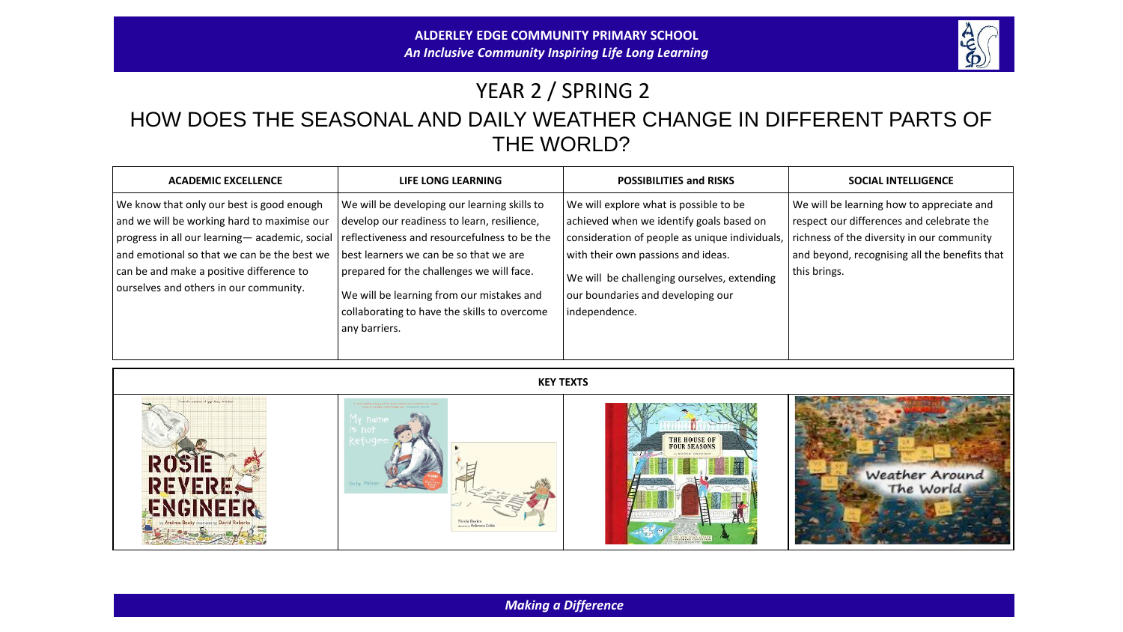

## YEAR 2 / SPRING 2 HOW DOES THE SEASONAL AND DAILY WEATHER CHANGE IN DIFFERENT PARTS OF THE WORLD?

| <b>ACADEMIC EXCELLENCE</b>                                                                                                                                                                                                                                                     | LIFE LONG LEARNING                                                                                                                                                                                                                                                                                                                               | <b>POSSIBILITIES and RISKS</b>                                                                                                                                                                                                                                                  | <b>SOCIAL INTELLIGENCE</b>                                                                                                                                                                            |
|--------------------------------------------------------------------------------------------------------------------------------------------------------------------------------------------------------------------------------------------------------------------------------|--------------------------------------------------------------------------------------------------------------------------------------------------------------------------------------------------------------------------------------------------------------------------------------------------------------------------------------------------|---------------------------------------------------------------------------------------------------------------------------------------------------------------------------------------------------------------------------------------------------------------------------------|-------------------------------------------------------------------------------------------------------------------------------------------------------------------------------------------------------|
| We know that only our best is good enough<br>and we will be working hard to maximise our<br>progress in all our learning-academic, social<br>and emotional so that we can be the best we<br>can be and make a positive difference to<br>ourselves and others in our community. | We will be developing our learning skills to<br>develop our readiness to learn, resilience,<br>reflectiveness and resourcefulness to be the<br>best learners we can be so that we are<br>prepared for the challenges we will face.<br>We will be learning from our mistakes and<br>collaborating to have the skills to overcome<br>any barriers. | We will explore what is possible to be<br>achieved when we identify goals based on<br>consideration of people as unique individuals,<br>with their own passions and ideas.<br>We will be challenging ourselves, extending<br>our boundaries and developing our<br>independence. | We will be learning how to appreciate and<br>respect our differences and celebrate the<br>richness of the diversity in our community<br>and beyond, recognising all the benefits that<br>this brings. |



*Making a Difference*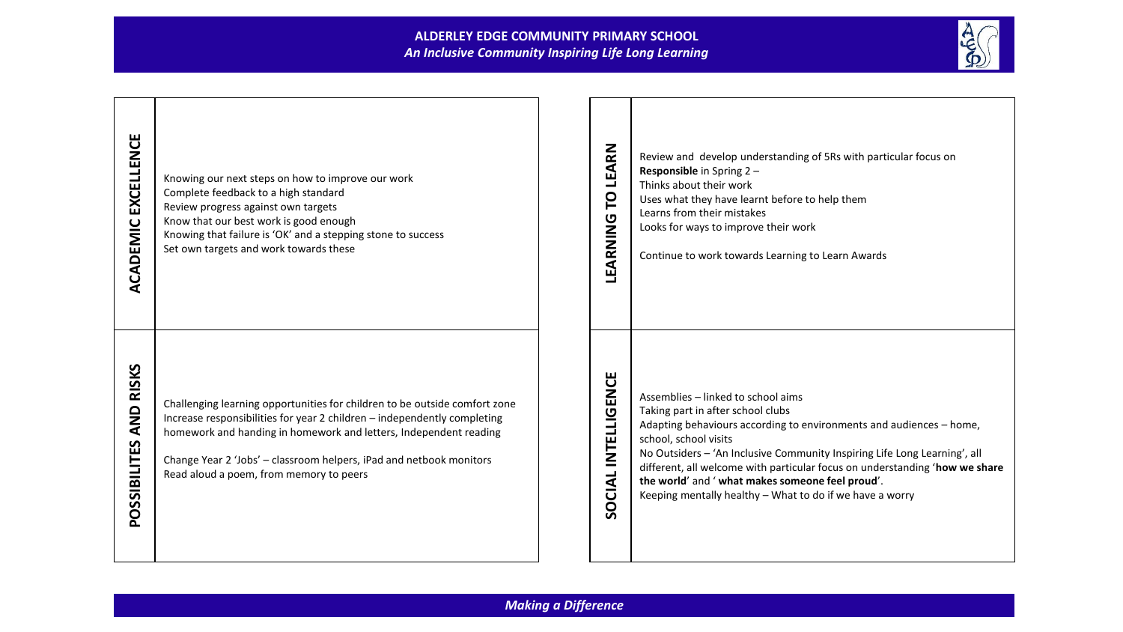## **ALDERLEY EDGE COMMUNITY PRIMARY SCHOOL** *An Inclusive Community Inspiring Life Long Learning*



| EXCELLENCE<br>ACADEMIC           | Knowing our next steps on how to improve our work<br>Complete feedback to a high standard<br>Review progress against own targets<br>Know that our best work is good enough<br>Knowing that failure is 'OK' and a stepping stone to success<br>Set own targets and work towards these                                                          | LEARN<br>p<br>LEARNING | Review and develop understanding of 5Rs with particular focus on<br>Responsible in Spring 2 -<br>Thinks about their work<br>Uses what they have learnt before to help them<br>Learns from their mistakes<br>Looks for ways to improve their work<br>Continue to work towards Learning to Learn Awards                                                                                                                                               |
|----------------------------------|-----------------------------------------------------------------------------------------------------------------------------------------------------------------------------------------------------------------------------------------------------------------------------------------------------------------------------------------------|------------------------|-----------------------------------------------------------------------------------------------------------------------------------------------------------------------------------------------------------------------------------------------------------------------------------------------------------------------------------------------------------------------------------------------------------------------------------------------------|
| <b>AND RISKS</b><br>POSSIBILITES | Challenging learning opportunities for children to be outside comfort zone<br>Increase responsibilities for year 2 children - independently completing<br>homework and handing in homework and letters, Independent reading<br>Change Year 2 'Jobs' - classroom helpers, iPad and netbook monitors<br>Read aloud a poem, from memory to peers | SOCIAL INTELLIGENCE    | Assemblies - linked to school aims<br>Taking part in after school clubs<br>Adapting behaviours according to environments and audiences - home,<br>school, school visits<br>No Outsiders - 'An Inclusive Community Inspiring Life Long Learning', all<br>different, all welcome with particular focus on understanding 'how we share<br>the world' and ' what makes someone feel proud'.<br>Keeping mentally healthy - What to do if we have a worry |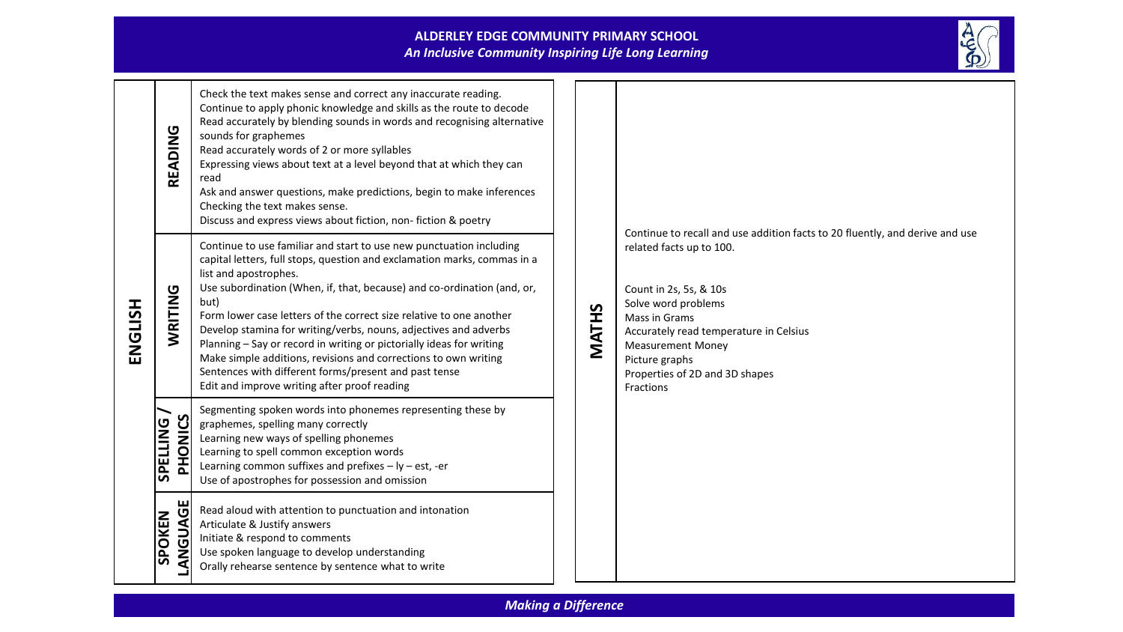

| ENGLISH | READING                    | Check the text makes sense and correct any inaccurate reading.<br>Continue to apply phonic knowledge and skills as the route to decode<br>Read accurately by blending sounds in words and recognising alternative<br>sounds for graphemes<br>Read accurately words of 2 or more syllables<br>Expressing views about text at a level beyond that at which they can<br>read<br>Ask and answer questions, make predictions, begin to make inferences<br>Checking the text makes sense.<br>Discuss and express views about fiction, non-fiction & poetry                                                                                                       |       | Continue to recall and use addition facts to 20 fluently, and derive and use<br>related facts up to 100.<br>Count in 2s, 5s, & 10s<br>Solve word problems<br>Mass in Grams<br>Accurately read temperature in Celsius<br><b>Measurement Money</b><br>Picture graphs<br>Properties of 2D and 3D shapes<br>Fractions |
|---------|----------------------------|------------------------------------------------------------------------------------------------------------------------------------------------------------------------------------------------------------------------------------------------------------------------------------------------------------------------------------------------------------------------------------------------------------------------------------------------------------------------------------------------------------------------------------------------------------------------------------------------------------------------------------------------------------|-------|-------------------------------------------------------------------------------------------------------------------------------------------------------------------------------------------------------------------------------------------------------------------------------------------------------------------|
|         | WRITING                    | Continue to use familiar and start to use new punctuation including<br>capital letters, full stops, question and exclamation marks, commas in a<br>list and apostrophes.<br>Use subordination (When, if, that, because) and co-ordination (and, or,<br>but)<br>Form lower case letters of the correct size relative to one another<br>Develop stamina for writing/verbs, nouns, adjectives and adverbs<br>Planning - Say or record in writing or pictorially ideas for writing<br>Make simple additions, revisions and corrections to own writing<br>Sentences with different forms/present and past tense<br>Edit and improve writing after proof reading | MATHS |                                                                                                                                                                                                                                                                                                                   |
|         | PHONICS<br><b>SPELLING</b> | Segmenting spoken words into phonemes representing these by<br>graphemes, spelling many correctly<br>Learning new ways of spelling phonemes<br>Learning to spell common exception words<br>Learning common suffixes and prefixes $-$ ly $-$ est, -er<br>Use of apostrophes for possession and omission                                                                                                                                                                                                                                                                                                                                                     |       |                                                                                                                                                                                                                                                                                                                   |
|         | LANGUAGE<br><b>SPOKEN</b>  | Read aloud with attention to punctuation and intonation<br>Articulate & Justify answers<br>Initiate & respond to comments<br>Use spoken language to develop understanding<br>Orally rehearse sentence by sentence what to write                                                                                                                                                                                                                                                                                                                                                                                                                            |       |                                                                                                                                                                                                                                                                                                                   |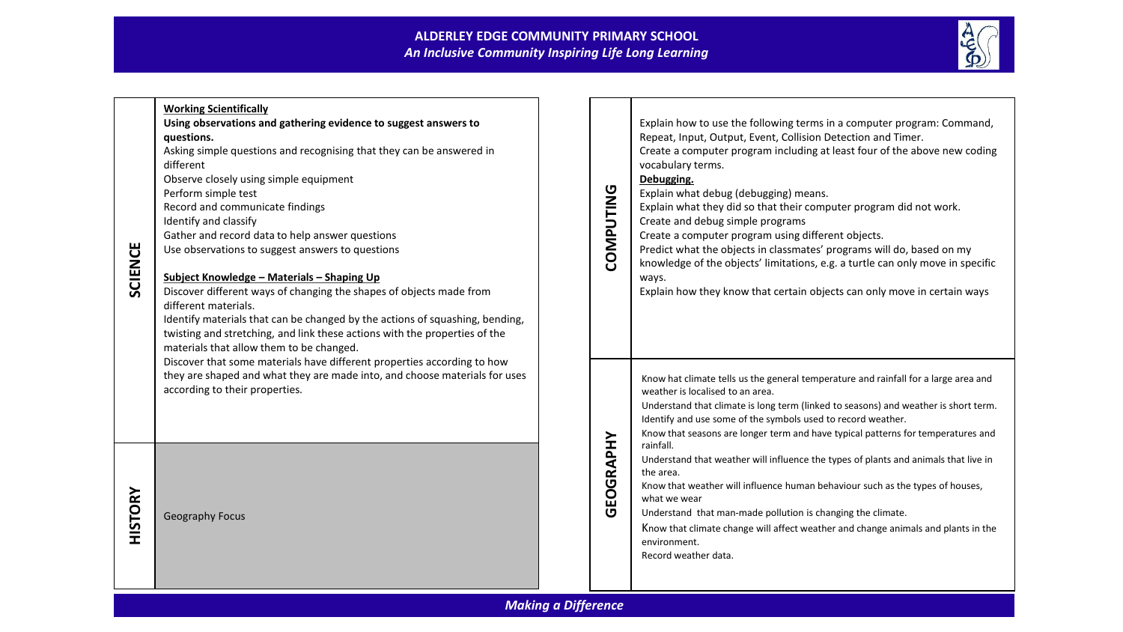## **ALDERLEY EDGE COMMUNITY PRIMARY SCHOOL** *An Inclusive Community Inspiring Life Long Learning*



| <b>SCIENCE</b>             | <b>Working Scientifically</b><br>Using observations and gathering evidence to suggest answers to<br>questions.<br>Asking simple questions and recognising that they can be answered in<br>different<br>Observe closely using simple equipment<br>Perform simple test<br>Record and communicate findings<br>Identify and classify<br>Gather and record data to help answer questions<br>Use observations to suggest answers to questions<br>Subject Knowledge - Materials - Shaping Up<br>Discover different ways of changing the shapes of objects made from<br>different materials.<br>Identify materials that can be changed by the actions of squashing, bending,<br>twisting and stretching, and link these actions with the properties of the<br>materials that allow them to be changed. |  | COMPUTING | Explain how to use the following terms in a computer program: Command,<br>Repeat, Input, Output, Event, Collision Detection and Timer.<br>Create a computer program including at least four of the above new coding<br>vocabulary terms.<br>Debugging.<br>Explain what debug (debugging) means.<br>Explain what they did so that their computer program did not work.<br>Create and debug simple programs<br>Create a computer program using different objects.<br>Predict what the objects in classmates' programs will do, based on my<br>knowledge of the objects' limitations, e.g. a turtle can only move in specific<br>ways.<br>Explain how they know that certain objects can only move in certain ways |
|----------------------------|------------------------------------------------------------------------------------------------------------------------------------------------------------------------------------------------------------------------------------------------------------------------------------------------------------------------------------------------------------------------------------------------------------------------------------------------------------------------------------------------------------------------------------------------------------------------------------------------------------------------------------------------------------------------------------------------------------------------------------------------------------------------------------------------|--|-----------|-----------------------------------------------------------------------------------------------------------------------------------------------------------------------------------------------------------------------------------------------------------------------------------------------------------------------------------------------------------------------------------------------------------------------------------------------------------------------------------------------------------------------------------------------------------------------------------------------------------------------------------------------------------------------------------------------------------------|
|                            | Discover that some materials have different properties according to how<br>they are shaped and what they are made into, and choose materials for uses<br>according to their properties.                                                                                                                                                                                                                                                                                                                                                                                                                                                                                                                                                                                                        |  |           | Know hat climate tells us the general temperature and rainfall for a large area and<br>weather is localised to an area.<br>Understand that climate is long term (linked to seasons) and weather is short term.<br>Identify and use some of the symbols used to record weather.<br>Know that seasons are longer term and have typical patterns for temperatures and<br>rainfall.                                                                                                                                                                                                                                                                                                                                 |
| <b>HISTORY</b>             | <b>Geography Focus</b>                                                                                                                                                                                                                                                                                                                                                                                                                                                                                                                                                                                                                                                                                                                                                                         |  | GEOGRAPHY | Understand that weather will influence the types of plants and animals that live in<br>the area.<br>Know that weather will influence human behaviour such as the types of houses,<br>what we wear<br>Understand that man-made pollution is changing the climate.<br>Know that climate change will affect weather and change animals and plants in the<br>environment.<br>Record weather data.                                                                                                                                                                                                                                                                                                                   |
| <b>Making a Difference</b> |                                                                                                                                                                                                                                                                                                                                                                                                                                                                                                                                                                                                                                                                                                                                                                                                |  |           |                                                                                                                                                                                                                                                                                                                                                                                                                                                                                                                                                                                                                                                                                                                 |